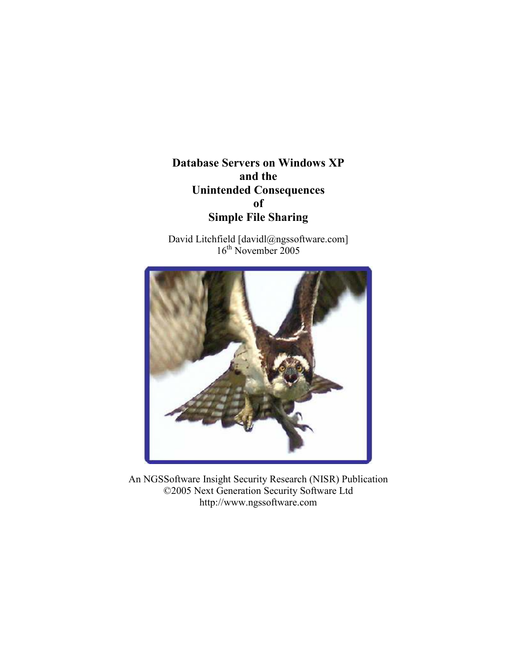Database Servers on Windows XP and the Unintended Consequences of Simple File Sharing

David Litchfield [davidl@ngssoftware.com] 16<sup>th</sup> November 2005



An NGSSoftware Insight Security Research (NISR) Publication ©2005 Next Generation Security Software Ltd http://www.ngssoftware.com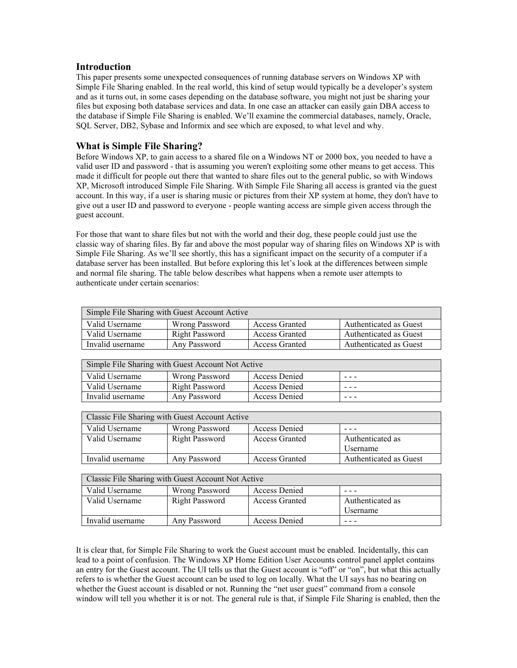## Introduction

This paper presents some unexpected consequences of running database servers on Windows XP with Simple File Sharing enabled. In the real world, this kind of setup would typically be a developer's system and as it turns out, in some cases depending on the database software, you might not just be sharing your files but exposing both database services and data. In one case an attacker can easily gain DBA access to the database if Simple File Sharing is enabled. We'll examine the commercial databases, namely, Oracle, SQL Server, DB2, Sybase and Informix and see which are exposed, to what level and why.

# What is Simple File Sharing?

Before Windows XP, to gain access to a shared file on a Windows NT or 2000 box, you needed to have a valid user ID and password - that is assuming you weren't exploiting some other means to get access. This made it difficult for people out there that wanted to share files out to the general public, so with Windows XP, Microsoft introduced Simple File Sharing. With Simple File Sharing all access is granted via the guest account. In this way, if a user is sharing music or pictures from their XP system at home, they don't have to give out a user ID and password to everyone - people wanting access are simple given access through the guest account.

For those that want to share files but not with the world and their dog, these people could just use the classic way of sharing files. By far and above the most popular way of sharing files on Windows XP is with Simple File Sharing. As we'll see shortly, this has a significant impact on the security of a computer if a database server has been installed. But before exploring this let's look at the differences between simple and normal file sharing. The table below describes what happens when a remote user attempts to authenticate under certain scenarios:

| Simple File Sharing with Guest Account Active |                |                       |                        |  |
|-----------------------------------------------|----------------|-----------------------|------------------------|--|
| Valid Username                                | Wrong Password | <b>Access Granted</b> | Authenticated as Guest |  |
| Valid Username                                | Right Password | <b>Access Granted</b> | Authenticated as Guest |  |
| Invalid username                              | Any Password   | <b>Access Granted</b> | Authenticated as Guest |  |

| Simple File Sharing with Guest Account Not Active |                       |                      |         |  |  |
|---------------------------------------------------|-----------------------|----------------------|---------|--|--|
| Valid Username                                    | Wrong Password        | Access Denied        | $- - -$ |  |  |
| Valid Username                                    | <b>Right Password</b> | Access Denied        | ---     |  |  |
| Invalid username                                  | Any Password          | <b>Access Denied</b> | $- - -$ |  |  |

| Classic File Sharing with Guest Account Active |                |                       |                        |  |
|------------------------------------------------|----------------|-----------------------|------------------------|--|
| Valid Username                                 | Wrong Password | Access Denied         |                        |  |
| Valid Username                                 | Right Password | <b>Access Granted</b> | Authenticated as       |  |
|                                                |                |                       | <i>Username</i>        |  |
| Invalid username                               | Any Password   | <b>Access Granted</b> | Authenticated as Guest |  |

| Classic File Sharing with Guest Account Not Active |                       |                       |                  |  |  |
|----------------------------------------------------|-----------------------|-----------------------|------------------|--|--|
| Valid Username                                     | Wrong Password        | Access Denied         |                  |  |  |
| Valid Username                                     | <b>Right Password</b> | <b>Access Granted</b> | Authenticated as |  |  |
|                                                    |                       |                       | Username         |  |  |
| Invalid username                                   | Any Password          | Access Denied         |                  |  |  |

It is clear that, for Simple File Sharing to work the Guest account must be enabled. Incidentally, this can lead to a point of confusion. The Windows XP Home Edition User Accounts control panel applet contains an entry for the Guest account. The UI tells us that the Guest account is "off" or "on", but what this actually refers to is whether the Guest account can be used to log on locally. What the UI says has no bearing on whether the Guest account is disabled or not. Running the "net user guest" command from a console window will tell you whether it is or not. The general rule is that, if Simple File Sharing is enabled, then the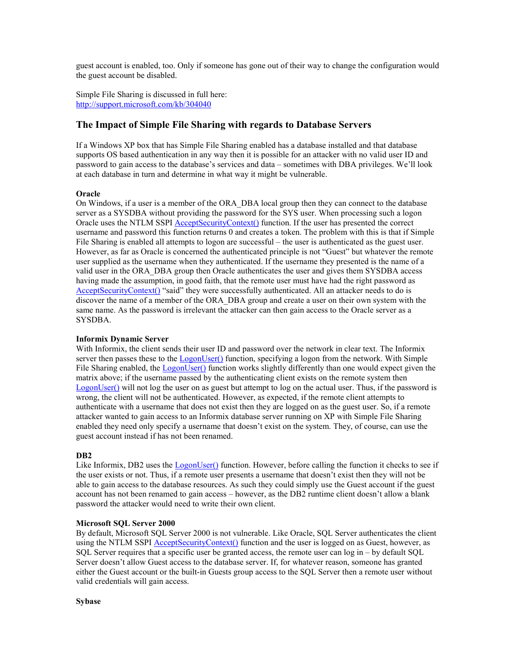guest account is enabled, too. Only if someone has gone out of their way to change the configuration would the guest account be disabled.

Simple File Sharing is discussed in full here: http://support.microsoft.com/kb/304040

## The Impact of Simple File Sharing with regards to Database Servers

If a Windows XP box that has Simple File Sharing enabled has a database installed and that database supports OS based authentication in any way then it is possible for an attacker with no valid user ID and password to gain access to the database's services and data – sometimes with DBA privileges. We'll look at each database in turn and determine in what way it might be vulnerable.

## **Oracle**

On Windows, if a user is a member of the ORA\_DBA local group then they can connect to the database server as a SYSDBA without providing the password for the SYS user. When processing such a logon Oracle uses the NTLM SSPI AcceptSecurityContext() function. If the user has presented the correct username and password this function returns 0 and creates a token. The problem with this is that if Simple File Sharing is enabled all attempts to logon are successful – the user is authenticated as the guest user. However, as far as Oracle is concerned the authenticated principle is not "Guest" but whatever the remote user supplied as the username when they authenticated. If the username they presented is the name of a valid user in the ORA\_DBA group then Oracle authenticates the user and gives them SYSDBA access having made the assumption, in good faith, that the remote user must have had the right password as AcceptSecurityContext() "said" they were successfully authenticated. All an attacker needs to do is discover the name of a member of the ORA\_DBA group and create a user on their own system with the same name. As the password is irrelevant the attacker can then gain access to the Oracle server as a SYSDBA.

## Informix Dynamic Server

With Informix, the client sends their user ID and password over the network in clear text. The Informix server then passes these to the **LogonUser**() function, specifying a logon from the network. With Simple File Sharing enabled, the LogonUser() function works slightly differently than one would expect given the matrix above; if the username passed by the authenticating client exists on the remote system then LogonUser() will not log the user on as guest but attempt to log on the actual user. Thus, if the password is wrong, the client will not be authenticated. However, as expected, if the remote client attempts to authenticate with a username that does not exist then they are logged on as the guest user. So, if a remote attacker wanted to gain access to an Informix database server running on XP with Simple File Sharing enabled they need only specify a username that doesn't exist on the system. They, of course, can use the guest account instead if has not been renamed.

#### DB2

Like Informix, DB2 uses the LogonUser() function. However, before calling the function it checks to see if the user exists or not. Thus, if a remote user presents a username that doesn't exist then they will not be able to gain access to the database resources. As such they could simply use the Guest account if the guest account has not been renamed to gain access – however, as the DB2 runtime client doesn't allow a blank password the attacker would need to write their own client.

#### Microsoft SQL Server 2000

By default, Microsoft SQL Server 2000 is not vulnerable. Like Oracle, SQL Server authenticates the client using the NTLM SSPI **AcceptSecurityContext**() function and the user is logged on as Guest, however, as SQL Server requires that a specific user be granted access, the remote user can log in – by default SQL Server doesn't allow Guest access to the database server. If, for whatever reason, someone has granted either the Guest account or the built-in Guests group access to the SQL Server then a remote user without valid credentials will gain access.

Sybase